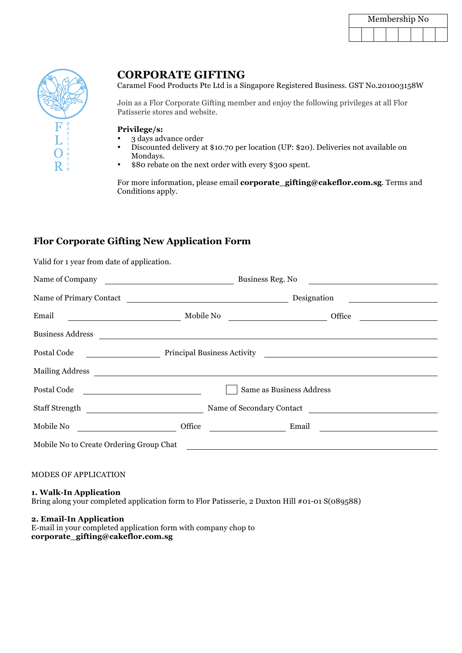| Membership No |  |  |  |  |  |  |  |
|---------------|--|--|--|--|--|--|--|
|               |  |  |  |  |  |  |  |



# **CORPORATE GIFTING**

Caramel Food Products Pte Ltd is a Singapore Registered Business. GST No.201003158W

Join as a Flor Corporate Gifting member and enjoy the following privileges at all Flor Patisserie stores and website.

### **Privilege/s:**

- 3 days advance order
- Discounted delivery at \$10.70 per location (UP: \$20). Deliveries not available on Mondays.
- \$80 rebate on the next order with every \$300 spent.

For more information, please email **corporate\_gifting@cakeflor.com.sg**. Terms and Conditions apply.

## **Flor Corporate Gifting New Application Form**

Valid for 1 year from date of application.

| Name of Company                         | Business Reg. No<br><u> 1989 - Andrea Station Barbara, politik a politik (</u> |                                                                                                                        |  |  |  |
|-----------------------------------------|--------------------------------------------------------------------------------|------------------------------------------------------------------------------------------------------------------------|--|--|--|
|                                         | Name of Primary Contact<br>Designation                                         |                                                                                                                        |  |  |  |
| Email<br>Mobile No                      |                                                                                | Office<br><u> 1980 - Andrea Albert III, martin am British ann an t-</u>                                                |  |  |  |
| <b>Business Address</b>                 |                                                                                |                                                                                                                        |  |  |  |
| Postal Code                             |                                                                                | Principal Business Activity Discovery 2014 19:30 Archives Activity                                                     |  |  |  |
|                                         |                                                                                |                                                                                                                        |  |  |  |
| Postal Code                             |                                                                                | Same as Business Address                                                                                               |  |  |  |
| Staff Strength                          |                                                                                | Name of Secondary Contact                                                                                              |  |  |  |
| Mobile No                               | Office                                                                         | Email<br><u> 1990 - Johann Barbara, martin eta </u><br><u> 1989 - Andrea Brand, amerikansk politik (</u>               |  |  |  |
| Mobile No to Create Ordering Group Chat |                                                                                | <u> 1989 - Jan Stern Harry Harry Harry Harry Harry Harry Harry Harry Harry Harry Harry Harry Harry Harry Harry Har</u> |  |  |  |
|                                         |                                                                                |                                                                                                                        |  |  |  |

#### MODES OF APPLICATION

**1. Walk-In Application**

Bring along your completed application form to Flor Patisserie, 2 Duxton Hill #01-01 S(089588)

**2. Email-In Application**

E-mail in your completed application form with company chop to **corporate\_gifting@cakeflor.com.sg**